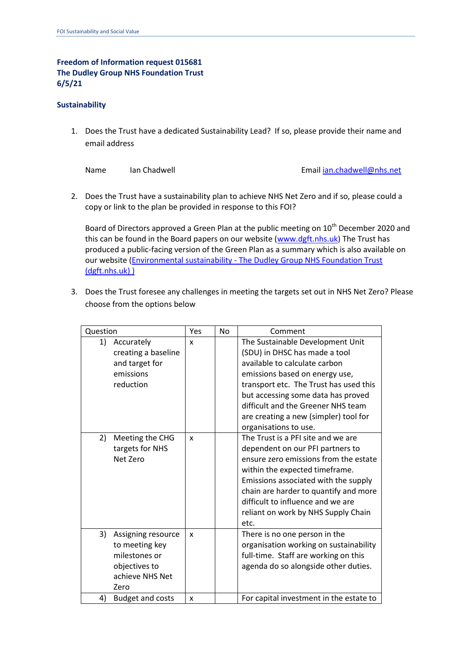## **Freedom of Information request 015681 The Dudley Group NHS Foundation Trust 6/5/21**

## **Sustainability**

1. Does the Trust have a dedicated Sustainability Lead? If so, please provide their name and email address

Name Ian Chadwell **International Emai[l ian.chadwell@nhs.net](mailto:ian.chadwell@nhs.net)** 

2. Does the Trust have a sustainability plan to achieve NHS Net Zero and if so, please could a copy or link to the plan be provided in response to this FOI?

Board of Directors approved a Green Plan at the public meeting on 10<sup>th</sup> December 2020 and this can be found in the Board papers on our website [\(www.dgft.nhs.uk\)](http://www.dgft.nhs.uk/) The Trust has produced a public-facing version of the Green Plan as a summary which is also available on our website (Environmental sustainability - The Dudley Group NHS Foundation Trust [\(dgft.nhs.uk\) \)](http://www.dgft.nhs.uk/about-us/environmental-sustainability/)

3. Does the Trust foresee any challenges in meeting the targets set out in NHS Net Zero? Please choose from the options below

| Question                                                                                                | Yes | <b>No</b> | Comment                                                                                                                                                                                                                                                                                                                      |
|---------------------------------------------------------------------------------------------------------|-----|-----------|------------------------------------------------------------------------------------------------------------------------------------------------------------------------------------------------------------------------------------------------------------------------------------------------------------------------------|
| 1)<br>Accurately<br>creating a baseline<br>and target for<br>emissions<br>reduction                     | X   |           | The Sustainable Development Unit<br>(SDU) in DHSC has made a tool<br>available to calculate carbon<br>emissions based on energy use,<br>transport etc. The Trust has used this<br>but accessing some data has proved<br>difficult and the Greener NHS team<br>are creating a new (simpler) tool for<br>organisations to use. |
| 2)<br>Meeting the CHG<br>targets for NHS<br>Net Zero                                                    | X   |           | The Trust is a PFI site and we are<br>dependent on our PFI partners to<br>ensure zero emissions from the estate<br>within the expected timeframe.<br>Emissions associated with the supply<br>chain are harder to quantify and more<br>difficult to influence and we are<br>reliant on work by NHS Supply Chain<br>etc.       |
| 3)<br>Assigning resource<br>to meeting key<br>milestones or<br>objectives to<br>achieve NHS Net<br>Zero | X   |           | There is no one person in the<br>organisation working on sustainability<br>full-time. Staff are working on this<br>agenda do so alongside other duties.                                                                                                                                                                      |
| <b>Budget and costs</b><br>4)                                                                           | X   |           | For capital investment in the estate to                                                                                                                                                                                                                                                                                      |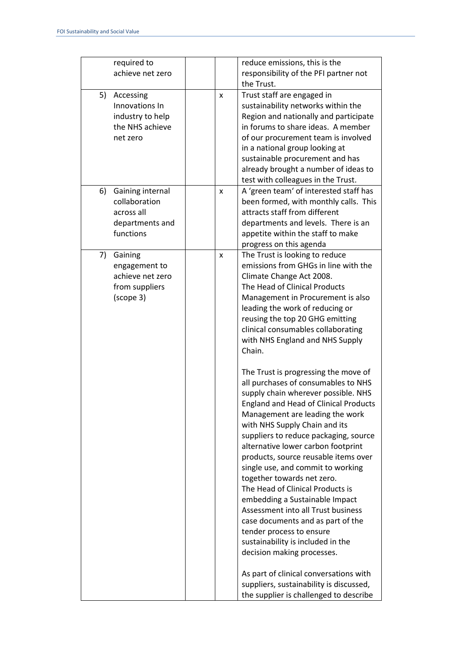| required to<br>reduce emissions, this is the<br>achieve net zero<br>responsibility of the PFI partner not<br>the Trust.<br>Trust staff are engaged in<br>5)<br>Accessing<br>X<br>Innovations In<br>sustainability networks within the<br>industry to help<br>Region and nationally and participate<br>the NHS achieve<br>in forums to share ideas. A member<br>of our procurement team is involved<br>net zero<br>in a national group looking at<br>sustainable procurement and has<br>already brought a number of ideas to<br>test with colleagues in the Trust.<br>A 'green team' of interested staff has<br>6)<br>Gaining internal<br>X<br>collaboration<br>been formed, with monthly calls. This<br>attracts staff from different<br>across all<br>departments and levels. There is an<br>departments and<br>functions<br>appetite within the staff to make<br>progress on this agenda<br>The Trust is looking to reduce<br>7)<br>Gaining<br>X<br>emissions from GHGs in line with the<br>engagement to<br>achieve net zero<br>Climate Change Act 2008.<br>The Head of Clinical Products<br>from suppliers<br>(scope 3)<br>Management in Procurement is also<br>leading the work of reducing or<br>reusing the top 20 GHG emitting<br>clinical consumables collaborating<br>with NHS England and NHS Supply<br>Chain.<br>The Trust is progressing the move of<br>all purchases of consumables to NHS<br>supply chain wherever possible. NHS<br><b>England and Head of Clinical Products</b><br>Management are leading the work<br>with NHS Supply Chain and its<br>suppliers to reduce packaging, source<br>alternative lower carbon footprint<br>products, source reusable items over<br>single use, and commit to working<br>together towards net zero.<br>The Head of Clinical Products is<br>embedding a Sustainable Impact<br>Assessment into all Trust business<br>case documents and as part of the<br>tender process to ensure<br>sustainability is included in the<br>decision making processes.<br>As part of clinical conversations with<br>suppliers, sustainability is discussed, |  |                                        |
|----------------------------------------------------------------------------------------------------------------------------------------------------------------------------------------------------------------------------------------------------------------------------------------------------------------------------------------------------------------------------------------------------------------------------------------------------------------------------------------------------------------------------------------------------------------------------------------------------------------------------------------------------------------------------------------------------------------------------------------------------------------------------------------------------------------------------------------------------------------------------------------------------------------------------------------------------------------------------------------------------------------------------------------------------------------------------------------------------------------------------------------------------------------------------------------------------------------------------------------------------------------------------------------------------------------------------------------------------------------------------------------------------------------------------------------------------------------------------------------------------------------------------------------------------------------------------------------------------------------------------------------------------------------------------------------------------------------------------------------------------------------------------------------------------------------------------------------------------------------------------------------------------------------------------------------------------------------------------------------------------------------------------------------------------------------------------------------------------|--|----------------------------------------|
|                                                                                                                                                                                                                                                                                                                                                                                                                                                                                                                                                                                                                                                                                                                                                                                                                                                                                                                                                                                                                                                                                                                                                                                                                                                                                                                                                                                                                                                                                                                                                                                                                                                                                                                                                                                                                                                                                                                                                                                                                                                                                                    |  |                                        |
|                                                                                                                                                                                                                                                                                                                                                                                                                                                                                                                                                                                                                                                                                                                                                                                                                                                                                                                                                                                                                                                                                                                                                                                                                                                                                                                                                                                                                                                                                                                                                                                                                                                                                                                                                                                                                                                                                                                                                                                                                                                                                                    |  |                                        |
|                                                                                                                                                                                                                                                                                                                                                                                                                                                                                                                                                                                                                                                                                                                                                                                                                                                                                                                                                                                                                                                                                                                                                                                                                                                                                                                                                                                                                                                                                                                                                                                                                                                                                                                                                                                                                                                                                                                                                                                                                                                                                                    |  |                                        |
|                                                                                                                                                                                                                                                                                                                                                                                                                                                                                                                                                                                                                                                                                                                                                                                                                                                                                                                                                                                                                                                                                                                                                                                                                                                                                                                                                                                                                                                                                                                                                                                                                                                                                                                                                                                                                                                                                                                                                                                                                                                                                                    |  |                                        |
|                                                                                                                                                                                                                                                                                                                                                                                                                                                                                                                                                                                                                                                                                                                                                                                                                                                                                                                                                                                                                                                                                                                                                                                                                                                                                                                                                                                                                                                                                                                                                                                                                                                                                                                                                                                                                                                                                                                                                                                                                                                                                                    |  |                                        |
|                                                                                                                                                                                                                                                                                                                                                                                                                                                                                                                                                                                                                                                                                                                                                                                                                                                                                                                                                                                                                                                                                                                                                                                                                                                                                                                                                                                                                                                                                                                                                                                                                                                                                                                                                                                                                                                                                                                                                                                                                                                                                                    |  |                                        |
|                                                                                                                                                                                                                                                                                                                                                                                                                                                                                                                                                                                                                                                                                                                                                                                                                                                                                                                                                                                                                                                                                                                                                                                                                                                                                                                                                                                                                                                                                                                                                                                                                                                                                                                                                                                                                                                                                                                                                                                                                                                                                                    |  |                                        |
|                                                                                                                                                                                                                                                                                                                                                                                                                                                                                                                                                                                                                                                                                                                                                                                                                                                                                                                                                                                                                                                                                                                                                                                                                                                                                                                                                                                                                                                                                                                                                                                                                                                                                                                                                                                                                                                                                                                                                                                                                                                                                                    |  |                                        |
|                                                                                                                                                                                                                                                                                                                                                                                                                                                                                                                                                                                                                                                                                                                                                                                                                                                                                                                                                                                                                                                                                                                                                                                                                                                                                                                                                                                                                                                                                                                                                                                                                                                                                                                                                                                                                                                                                                                                                                                                                                                                                                    |  |                                        |
|                                                                                                                                                                                                                                                                                                                                                                                                                                                                                                                                                                                                                                                                                                                                                                                                                                                                                                                                                                                                                                                                                                                                                                                                                                                                                                                                                                                                                                                                                                                                                                                                                                                                                                                                                                                                                                                                                                                                                                                                                                                                                                    |  |                                        |
|                                                                                                                                                                                                                                                                                                                                                                                                                                                                                                                                                                                                                                                                                                                                                                                                                                                                                                                                                                                                                                                                                                                                                                                                                                                                                                                                                                                                                                                                                                                                                                                                                                                                                                                                                                                                                                                                                                                                                                                                                                                                                                    |  |                                        |
|                                                                                                                                                                                                                                                                                                                                                                                                                                                                                                                                                                                                                                                                                                                                                                                                                                                                                                                                                                                                                                                                                                                                                                                                                                                                                                                                                                                                                                                                                                                                                                                                                                                                                                                                                                                                                                                                                                                                                                                                                                                                                                    |  |                                        |
|                                                                                                                                                                                                                                                                                                                                                                                                                                                                                                                                                                                                                                                                                                                                                                                                                                                                                                                                                                                                                                                                                                                                                                                                                                                                                                                                                                                                                                                                                                                                                                                                                                                                                                                                                                                                                                                                                                                                                                                                                                                                                                    |  |                                        |
|                                                                                                                                                                                                                                                                                                                                                                                                                                                                                                                                                                                                                                                                                                                                                                                                                                                                                                                                                                                                                                                                                                                                                                                                                                                                                                                                                                                                                                                                                                                                                                                                                                                                                                                                                                                                                                                                                                                                                                                                                                                                                                    |  |                                        |
|                                                                                                                                                                                                                                                                                                                                                                                                                                                                                                                                                                                                                                                                                                                                                                                                                                                                                                                                                                                                                                                                                                                                                                                                                                                                                                                                                                                                                                                                                                                                                                                                                                                                                                                                                                                                                                                                                                                                                                                                                                                                                                    |  |                                        |
|                                                                                                                                                                                                                                                                                                                                                                                                                                                                                                                                                                                                                                                                                                                                                                                                                                                                                                                                                                                                                                                                                                                                                                                                                                                                                                                                                                                                                                                                                                                                                                                                                                                                                                                                                                                                                                                                                                                                                                                                                                                                                                    |  |                                        |
|                                                                                                                                                                                                                                                                                                                                                                                                                                                                                                                                                                                                                                                                                                                                                                                                                                                                                                                                                                                                                                                                                                                                                                                                                                                                                                                                                                                                                                                                                                                                                                                                                                                                                                                                                                                                                                                                                                                                                                                                                                                                                                    |  |                                        |
|                                                                                                                                                                                                                                                                                                                                                                                                                                                                                                                                                                                                                                                                                                                                                                                                                                                                                                                                                                                                                                                                                                                                                                                                                                                                                                                                                                                                                                                                                                                                                                                                                                                                                                                                                                                                                                                                                                                                                                                                                                                                                                    |  |                                        |
|                                                                                                                                                                                                                                                                                                                                                                                                                                                                                                                                                                                                                                                                                                                                                                                                                                                                                                                                                                                                                                                                                                                                                                                                                                                                                                                                                                                                                                                                                                                                                                                                                                                                                                                                                                                                                                                                                                                                                                                                                                                                                                    |  |                                        |
|                                                                                                                                                                                                                                                                                                                                                                                                                                                                                                                                                                                                                                                                                                                                                                                                                                                                                                                                                                                                                                                                                                                                                                                                                                                                                                                                                                                                                                                                                                                                                                                                                                                                                                                                                                                                                                                                                                                                                                                                                                                                                                    |  |                                        |
|                                                                                                                                                                                                                                                                                                                                                                                                                                                                                                                                                                                                                                                                                                                                                                                                                                                                                                                                                                                                                                                                                                                                                                                                                                                                                                                                                                                                                                                                                                                                                                                                                                                                                                                                                                                                                                                                                                                                                                                                                                                                                                    |  |                                        |
|                                                                                                                                                                                                                                                                                                                                                                                                                                                                                                                                                                                                                                                                                                                                                                                                                                                                                                                                                                                                                                                                                                                                                                                                                                                                                                                                                                                                                                                                                                                                                                                                                                                                                                                                                                                                                                                                                                                                                                                                                                                                                                    |  |                                        |
|                                                                                                                                                                                                                                                                                                                                                                                                                                                                                                                                                                                                                                                                                                                                                                                                                                                                                                                                                                                                                                                                                                                                                                                                                                                                                                                                                                                                                                                                                                                                                                                                                                                                                                                                                                                                                                                                                                                                                                                                                                                                                                    |  |                                        |
|                                                                                                                                                                                                                                                                                                                                                                                                                                                                                                                                                                                                                                                                                                                                                                                                                                                                                                                                                                                                                                                                                                                                                                                                                                                                                                                                                                                                                                                                                                                                                                                                                                                                                                                                                                                                                                                                                                                                                                                                                                                                                                    |  |                                        |
|                                                                                                                                                                                                                                                                                                                                                                                                                                                                                                                                                                                                                                                                                                                                                                                                                                                                                                                                                                                                                                                                                                                                                                                                                                                                                                                                                                                                                                                                                                                                                                                                                                                                                                                                                                                                                                                                                                                                                                                                                                                                                                    |  |                                        |
|                                                                                                                                                                                                                                                                                                                                                                                                                                                                                                                                                                                                                                                                                                                                                                                                                                                                                                                                                                                                                                                                                                                                                                                                                                                                                                                                                                                                                                                                                                                                                                                                                                                                                                                                                                                                                                                                                                                                                                                                                                                                                                    |  |                                        |
|                                                                                                                                                                                                                                                                                                                                                                                                                                                                                                                                                                                                                                                                                                                                                                                                                                                                                                                                                                                                                                                                                                                                                                                                                                                                                                                                                                                                                                                                                                                                                                                                                                                                                                                                                                                                                                                                                                                                                                                                                                                                                                    |  |                                        |
|                                                                                                                                                                                                                                                                                                                                                                                                                                                                                                                                                                                                                                                                                                                                                                                                                                                                                                                                                                                                                                                                                                                                                                                                                                                                                                                                                                                                                                                                                                                                                                                                                                                                                                                                                                                                                                                                                                                                                                                                                                                                                                    |  |                                        |
|                                                                                                                                                                                                                                                                                                                                                                                                                                                                                                                                                                                                                                                                                                                                                                                                                                                                                                                                                                                                                                                                                                                                                                                                                                                                                                                                                                                                                                                                                                                                                                                                                                                                                                                                                                                                                                                                                                                                                                                                                                                                                                    |  |                                        |
|                                                                                                                                                                                                                                                                                                                                                                                                                                                                                                                                                                                                                                                                                                                                                                                                                                                                                                                                                                                                                                                                                                                                                                                                                                                                                                                                                                                                                                                                                                                                                                                                                                                                                                                                                                                                                                                                                                                                                                                                                                                                                                    |  |                                        |
|                                                                                                                                                                                                                                                                                                                                                                                                                                                                                                                                                                                                                                                                                                                                                                                                                                                                                                                                                                                                                                                                                                                                                                                                                                                                                                                                                                                                                                                                                                                                                                                                                                                                                                                                                                                                                                                                                                                                                                                                                                                                                                    |  |                                        |
|                                                                                                                                                                                                                                                                                                                                                                                                                                                                                                                                                                                                                                                                                                                                                                                                                                                                                                                                                                                                                                                                                                                                                                                                                                                                                                                                                                                                                                                                                                                                                                                                                                                                                                                                                                                                                                                                                                                                                                                                                                                                                                    |  |                                        |
|                                                                                                                                                                                                                                                                                                                                                                                                                                                                                                                                                                                                                                                                                                                                                                                                                                                                                                                                                                                                                                                                                                                                                                                                                                                                                                                                                                                                                                                                                                                                                                                                                                                                                                                                                                                                                                                                                                                                                                                                                                                                                                    |  |                                        |
|                                                                                                                                                                                                                                                                                                                                                                                                                                                                                                                                                                                                                                                                                                                                                                                                                                                                                                                                                                                                                                                                                                                                                                                                                                                                                                                                                                                                                                                                                                                                                                                                                                                                                                                                                                                                                                                                                                                                                                                                                                                                                                    |  |                                        |
|                                                                                                                                                                                                                                                                                                                                                                                                                                                                                                                                                                                                                                                                                                                                                                                                                                                                                                                                                                                                                                                                                                                                                                                                                                                                                                                                                                                                                                                                                                                                                                                                                                                                                                                                                                                                                                                                                                                                                                                                                                                                                                    |  |                                        |
|                                                                                                                                                                                                                                                                                                                                                                                                                                                                                                                                                                                                                                                                                                                                                                                                                                                                                                                                                                                                                                                                                                                                                                                                                                                                                                                                                                                                                                                                                                                                                                                                                                                                                                                                                                                                                                                                                                                                                                                                                                                                                                    |  |                                        |
|                                                                                                                                                                                                                                                                                                                                                                                                                                                                                                                                                                                                                                                                                                                                                                                                                                                                                                                                                                                                                                                                                                                                                                                                                                                                                                                                                                                                                                                                                                                                                                                                                                                                                                                                                                                                                                                                                                                                                                                                                                                                                                    |  |                                        |
|                                                                                                                                                                                                                                                                                                                                                                                                                                                                                                                                                                                                                                                                                                                                                                                                                                                                                                                                                                                                                                                                                                                                                                                                                                                                                                                                                                                                                                                                                                                                                                                                                                                                                                                                                                                                                                                                                                                                                                                                                                                                                                    |  |                                        |
|                                                                                                                                                                                                                                                                                                                                                                                                                                                                                                                                                                                                                                                                                                                                                                                                                                                                                                                                                                                                                                                                                                                                                                                                                                                                                                                                                                                                                                                                                                                                                                                                                                                                                                                                                                                                                                                                                                                                                                                                                                                                                                    |  |                                        |
|                                                                                                                                                                                                                                                                                                                                                                                                                                                                                                                                                                                                                                                                                                                                                                                                                                                                                                                                                                                                                                                                                                                                                                                                                                                                                                                                                                                                                                                                                                                                                                                                                                                                                                                                                                                                                                                                                                                                                                                                                                                                                                    |  |                                        |
|                                                                                                                                                                                                                                                                                                                                                                                                                                                                                                                                                                                                                                                                                                                                                                                                                                                                                                                                                                                                                                                                                                                                                                                                                                                                                                                                                                                                                                                                                                                                                                                                                                                                                                                                                                                                                                                                                                                                                                                                                                                                                                    |  |                                        |
|                                                                                                                                                                                                                                                                                                                                                                                                                                                                                                                                                                                                                                                                                                                                                                                                                                                                                                                                                                                                                                                                                                                                                                                                                                                                                                                                                                                                                                                                                                                                                                                                                                                                                                                                                                                                                                                                                                                                                                                                                                                                                                    |  |                                        |
|                                                                                                                                                                                                                                                                                                                                                                                                                                                                                                                                                                                                                                                                                                                                                                                                                                                                                                                                                                                                                                                                                                                                                                                                                                                                                                                                                                                                                                                                                                                                                                                                                                                                                                                                                                                                                                                                                                                                                                                                                                                                                                    |  |                                        |
|                                                                                                                                                                                                                                                                                                                                                                                                                                                                                                                                                                                                                                                                                                                                                                                                                                                                                                                                                                                                                                                                                                                                                                                                                                                                                                                                                                                                                                                                                                                                                                                                                                                                                                                                                                                                                                                                                                                                                                                                                                                                                                    |  |                                        |
|                                                                                                                                                                                                                                                                                                                                                                                                                                                                                                                                                                                                                                                                                                                                                                                                                                                                                                                                                                                                                                                                                                                                                                                                                                                                                                                                                                                                                                                                                                                                                                                                                                                                                                                                                                                                                                                                                                                                                                                                                                                                                                    |  |                                        |
|                                                                                                                                                                                                                                                                                                                                                                                                                                                                                                                                                                                                                                                                                                                                                                                                                                                                                                                                                                                                                                                                                                                                                                                                                                                                                                                                                                                                                                                                                                                                                                                                                                                                                                                                                                                                                                                                                                                                                                                                                                                                                                    |  |                                        |
|                                                                                                                                                                                                                                                                                                                                                                                                                                                                                                                                                                                                                                                                                                                                                                                                                                                                                                                                                                                                                                                                                                                                                                                                                                                                                                                                                                                                                                                                                                                                                                                                                                                                                                                                                                                                                                                                                                                                                                                                                                                                                                    |  |                                        |
|                                                                                                                                                                                                                                                                                                                                                                                                                                                                                                                                                                                                                                                                                                                                                                                                                                                                                                                                                                                                                                                                                                                                                                                                                                                                                                                                                                                                                                                                                                                                                                                                                                                                                                                                                                                                                                                                                                                                                                                                                                                                                                    |  | the supplier is challenged to describe |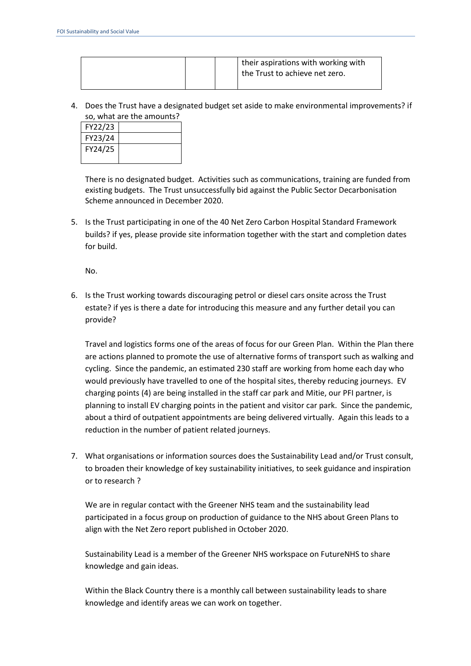|  |  | their aspirations with working with<br>the Trust to achieve net zero. |
|--|--|-----------------------------------------------------------------------|
|--|--|-----------------------------------------------------------------------|

4. Does the Trust have a designated budget set aside to make environmental improvements? if so, what are the amounts?

| FY22/23 |  |  |
|---------|--|--|
| FY23/24 |  |  |
| FY24/25 |  |  |

There is no designated budget. Activities such as communications, training are funded from existing budgets. The Trust unsuccessfully bid against the Public Sector Decarbonisation Scheme announced in December 2020.

5. Is the Trust participating in one of the 40 Net Zero Carbon Hospital Standard Framework builds? if yes, please provide site information together with the start and completion dates for build.

No.

6. Is the Trust working towards discouraging petrol or diesel cars onsite across the Trust estate? if yes is there a date for introducing this measure and any further detail you can provide?

Travel and logistics forms one of the areas of focus for our Green Plan. Within the Plan there are actions planned to promote the use of alternative forms of transport such as walking and cycling. Since the pandemic, an estimated 230 staff are working from home each day who would previously have travelled to one of the hospital sites, thereby reducing journeys. EV charging points (4) are being installed in the staff car park and Mitie, our PFI partner, is planning to install EV charging points in the patient and visitor car park. Since the pandemic, about a third of outpatient appointments are being delivered virtually. Again this leads to a reduction in the number of patient related journeys.

7. What organisations or information sources does the Sustainability Lead and/or Trust consult, to broaden their knowledge of key sustainability initiatives, to seek guidance and inspiration or to research ?

We are in regular contact with the Greener NHS team and the sustainability lead participated in a focus group on production of guidance to the NHS about Green Plans to align with the Net Zero report published in October 2020.

Sustainability Lead is a member of the Greener NHS workspace on FutureNHS to share knowledge and gain ideas.

Within the Black Country there is a monthly call between sustainability leads to share knowledge and identify areas we can work on together.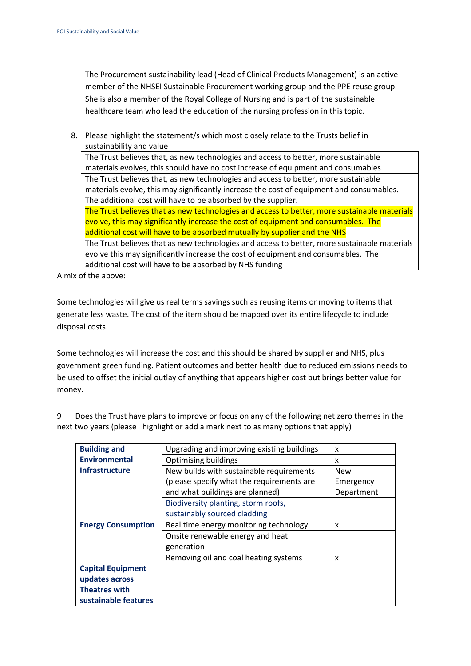The Procurement sustainability lead (Head of Clinical Products Management) is an active member of the NHSEI Sustainable Procurement working group and the PPE reuse group. She is also a member of the Royal College of Nursing and is part of the sustainable healthcare team who lead the education of the nursing profession in this topic.

8. Please highlight the statement/s which most closely relate to the Trusts belief in sustainability and value

The Trust believes that, as new technologies and access to better, more sustainable materials evolves, this should have no cost increase of equipment and consumables. The Trust believes that, as new technologies and access to better, more sustainable materials evolve, this may significantly increase the cost of equipment and consumables. The additional cost will have to be absorbed by the supplier.

The Trust believes that as new technologies and access to better, more sustainable materials evolve, this may significantly increase the cost of equipment and consumables. The additional cost will have to be absorbed mutually by supplier and the NHS

The Trust believes that as new technologies and access to better, more sustainable materials evolve this may significantly increase the cost of equipment and consumables. The additional cost will have to be absorbed by NHS funding

A mix of the above:

Some technologies will give us real terms savings such as reusing items or moving to items that generate less waste. The cost of the item should be mapped over its entire lifecycle to include disposal costs.

Some technologies will increase the cost and this should be shared by supplier and NHS, plus government green funding. Patient outcomes and better health due to reduced emissions needs to be used to offset the initial outlay of anything that appears higher cost but brings better value for money.

9 Does the Trust have plans to improve or focus on any of the following net zero themes in the next two years (please highlight or add a mark next to as many options that apply)

| <b>Building and</b>       | Upgrading and improving existing buildings | x          |
|---------------------------|--------------------------------------------|------------|
| <b>Environmental</b>      | <b>Optimising buildings</b>                | x          |
| <b>Infrastructure</b>     | New builds with sustainable requirements   | <b>New</b> |
|                           | (please specify what the requirements are  | Emergency  |
|                           | and what buildings are planned)            | Department |
|                           | Biodiversity planting, storm roofs,        |            |
|                           | sustainably sourced cladding               |            |
| <b>Energy Consumption</b> | Real time energy monitoring technology     | x          |
|                           | Onsite renewable energy and heat           |            |
|                           | generation                                 |            |
|                           | Removing oil and coal heating systems      | x          |
| <b>Capital Equipment</b>  |                                            |            |
| updates across            |                                            |            |
| <b>Theatres with</b>      |                                            |            |
| sustainable features      |                                            |            |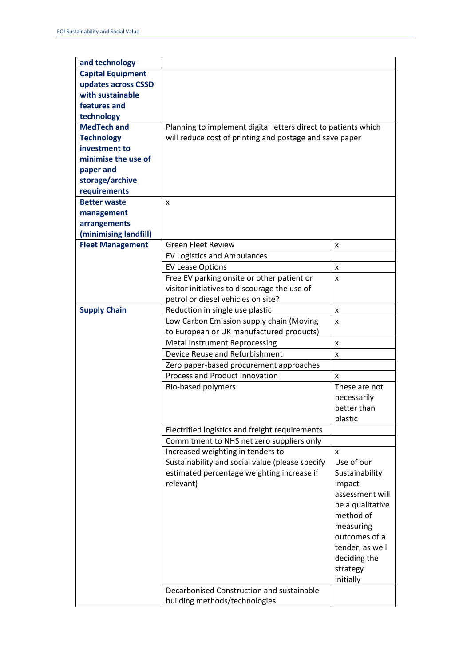| and technology           |                                                                |                  |
|--------------------------|----------------------------------------------------------------|------------------|
| <b>Capital Equipment</b> |                                                                |                  |
| updates across CSSD      |                                                                |                  |
| with sustainable         |                                                                |                  |
| features and             |                                                                |                  |
| technology               |                                                                |                  |
| <b>MedTech and</b>       | Planning to implement digital letters direct to patients which |                  |
| <b>Technology</b>        | will reduce cost of printing and postage and save paper        |                  |
| investment to            |                                                                |                  |
| minimise the use of      |                                                                |                  |
| paper and                |                                                                |                  |
| storage/archive          |                                                                |                  |
| requirements             |                                                                |                  |
| <b>Better waste</b>      | X                                                              |                  |
| management               |                                                                |                  |
| arrangements             |                                                                |                  |
| (minimising landfill)    |                                                                |                  |
| <b>Fleet Management</b>  | <b>Green Fleet Review</b>                                      | x                |
|                          | <b>EV Logistics and Ambulances</b>                             |                  |
|                          | <b>EV Lease Options</b>                                        | x                |
|                          | Free EV parking onsite or other patient or                     | x                |
|                          | visitor initiatives to discourage the use of                   |                  |
|                          | petrol or diesel vehicles on site?                             |                  |
| <b>Supply Chain</b>      | Reduction in single use plastic                                | x                |
|                          |                                                                |                  |
|                          | Low Carbon Emission supply chain (Moving                       | x                |
|                          | to European or UK manufactured products)                       |                  |
|                          | <b>Metal Instrument Reprocessing</b>                           | x                |
|                          | Device Reuse and Refurbishment                                 | x                |
|                          | Zero paper-based procurement approaches                        |                  |
|                          | Process and Product Innovation                                 | X                |
|                          | Bio-based polymers                                             | These are not    |
|                          |                                                                | necessarily      |
|                          |                                                                | better than      |
|                          |                                                                | plastic          |
|                          | Electrified logistics and freight requirements                 |                  |
|                          | Commitment to NHS net zero suppliers only                      |                  |
|                          | Increased weighting in tenders to                              | X                |
|                          | Sustainability and social value (please specify                | Use of our       |
|                          | estimated percentage weighting increase if                     | Sustainability   |
|                          | relevant)                                                      | impact           |
|                          |                                                                | assessment will  |
|                          |                                                                | be a qualitative |
|                          |                                                                | method of        |
|                          |                                                                | measuring        |
|                          |                                                                | outcomes of a    |
|                          |                                                                | tender, as well  |
|                          |                                                                | deciding the     |
|                          |                                                                | strategy         |
|                          |                                                                | initially        |
|                          | Decarbonised Construction and sustainable                      |                  |
|                          |                                                                |                  |
|                          | building methods/technologies                                  |                  |